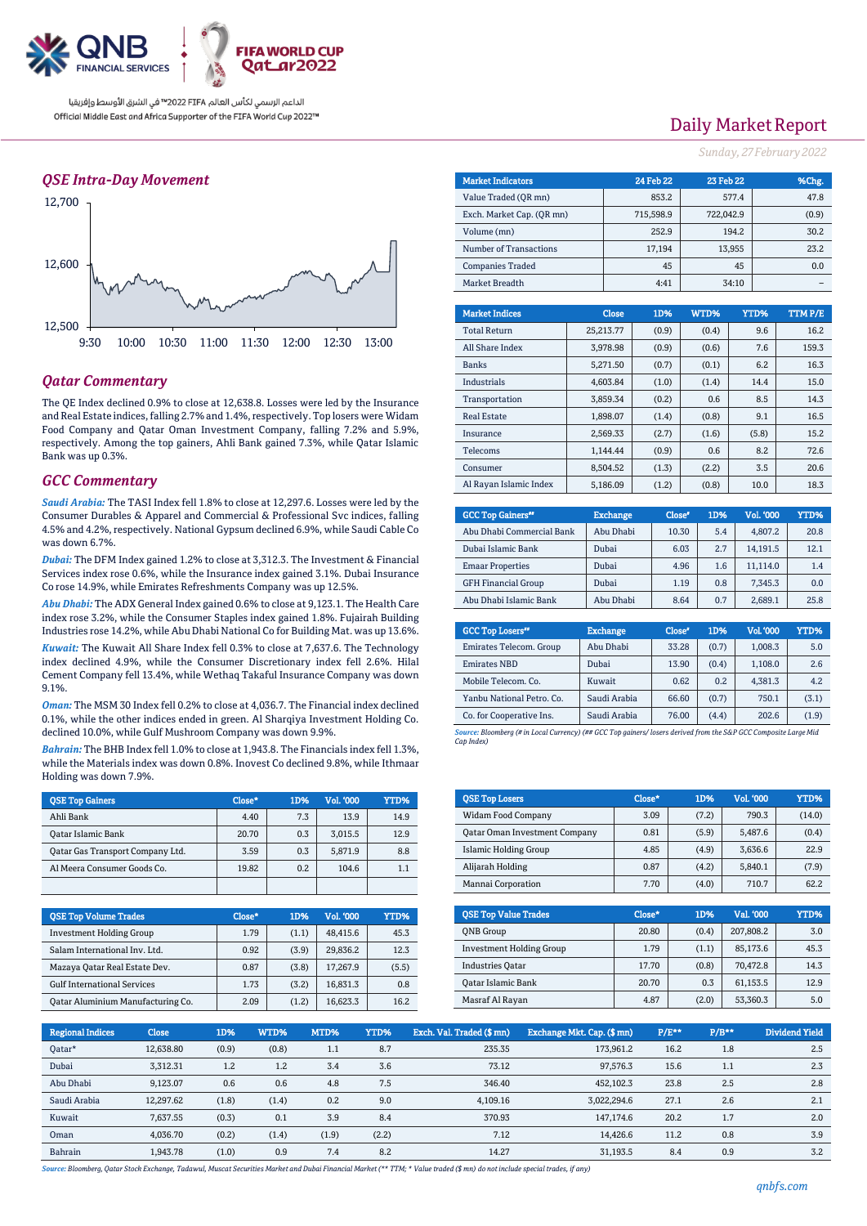

### *QSE Intra-Day Movement*



### *Qatar Commentary*

The QE Index declined 0.9% to close at 12,638.8. Losses were led by the Insurance and Real Estate indices, falling 2.7% and 1.4%, respectively. Top losers were Widam Food Company and Qatar Oman Investment Company, falling 7.2% and 5.9%, respectively. Among the top gainers, Ahli Bank gained 7.3%, while Qatar Islamic Bank was up 0.3%.

#### *GCC Commentary*

*Saudi Arabia:* The TASI Index fell 1.8% to close at 12,297.6. Losses were led by the Consumer Durables & Apparel and Commercial & Professional Svc indices, falling 4.5% and 4.2%, respectively. National Gypsum declined 6.9%, while Saudi Cable Co was down 6.7%.

*Dubai:* The DFM Index gained 1.2% to close at 3,312.3. The Investment & Financial Services index rose 0.6%, while the Insurance index gained 3.1%. Dubai Insurance Co rose 14.9%, while Emirates Refreshments Company was up 12.5%.

*Abu Dhabi:* The ADX General Index gained 0.6% to close at 9,123.1. The Health Care index rose 3.2%, while the Consumer Staples index gained 1.8%. Fujairah Building Industries rose 14.2%, while Abu Dhabi National Co for Building Mat. was up 13.6%.

*Kuwait:* The Kuwait All Share Index fell 0.3% to close at 7,637.6. The Technology index declined 4.9%, while the Consumer Discretionary index fell 2.6%. Hilal Cement Company fell 13.4%, while Wethaq Takaful Insurance Company was down 9.1%.

*Oman:* The MSM 30 Index fell 0.2% to close at 4,036.7. The Financial index declined 0.1%, while the other indices ended in green. Al Sharqiya Investment Holding Co. declined 10.0%, while Gulf Mushroom Company was down 9.9%.

*Bahrain:* The BHB Index fell 1.0% to close at 1,943.8. The Financials index fell 1.3%, while the Materials index was down 0.8%. Inovest Co declined 9.8%, while Ithmaar Holding was down 7.9%.

| <b>OSE Top Gainers</b>           | Close* | 1D% | Vol. '000 | YTD% |
|----------------------------------|--------|-----|-----------|------|
| Ahli Bank                        | 4.40   | 7.3 | 13.9      | 14.9 |
| <b>Oatar Islamic Bank</b>        | 20.70  | 0.3 | 3.015.5   | 12.9 |
| Qatar Gas Transport Company Ltd. | 3.59   | 0.3 | 5.871.9   | 8.8  |
| Al Meera Consumer Goods Co.      | 19.82  | 0.2 | 104.6     | 1.1  |
|                                  |        |     |           |      |

| <b>OSE Top Volume Trades</b>       | $Close*$ | 1D%   | Vol. '000 | YTD%  |
|------------------------------------|----------|-------|-----------|-------|
| <b>Investment Holding Group</b>    | 1.79     | (1.1) | 48.415.6  | 45.3  |
| Salam International Inv. Ltd.      | 0.92     | (3.9) | 29.836.2  | 12.3  |
| Mazaya Qatar Real Estate Dev.      | 0.87     | (3.8) | 17.267.9  | (5.5) |
| <b>Gulf International Services</b> | 1.73     | (3.2) | 16.831.3  | 0.8   |
| Oatar Aluminium Manufacturing Co.  | 2.09     | (1.2) | 16.623.3  | 16.2  |

## Daily Market Report

*Sunday, 27February2022*

| <b>Market Indicators</b>  | <b>24 Feb 22</b> | 23 Feb 22 | %Chg. |
|---------------------------|------------------|-----------|-------|
| Value Traded (OR mn)      | 853.2            | 577.4     | 47.8  |
| Exch. Market Cap. (OR mn) | 715,598.9        | 722,042.9 | (0.9) |
| Volume (mn)               | 252.9            | 194.2     | 30.2  |
| Number of Transactions    | 17,194           | 13,955    | 23.2  |
| <b>Companies Traded</b>   | 45               | 45        | 0.0   |
| Market Breadth            | 4:41             | 34:10     |       |
|                           |                  |           |       |

| <b>Market Indices</b>  | <b>Close</b> | 1D%   | WTD%  | YTD%  | TTM P/E |
|------------------------|--------------|-------|-------|-------|---------|
| <b>Total Return</b>    | 25.213.77    | (0.9) | (0.4) | 9.6   | 16.2    |
| All Share Index        | 3,978.98     | (0.9) | (0.6) | 7.6   | 159.3   |
| <b>Banks</b>           | 5,271.50     | (0.7) | (0.1) | 6.2   | 16.3    |
| Industrials            | 4,603.84     | (1.0) | (1.4) | 14.4  | 15.0    |
| Transportation         | 3,859.34     | (0.2) | 0.6   | 8.5   | 14.3    |
| <b>Real Estate</b>     | 1,898.07     | (1.4) | (0.8) | 9.1   | 16.5    |
| Insurance              | 2.569.33     | (2.7) | (1.6) | (5.8) | 15.2    |
| Telecoms               | 1,144.44     | (0.9) | 0.6   | 8.2   | 72.6    |
| Consumer               | 8.504.52     | (1.3) | (2.2) | 3.5   | 20.6    |
| Al Rayan Islamic Index | 5,186.09     | (1.2) | (0.8) | 10.0  | 18.3    |

| <b>GCC Top Gainers</b> "   | <b>Exchange</b> | Close* | 1D% | Vol. '000 | YTD% |
|----------------------------|-----------------|--------|-----|-----------|------|
| Abu Dhabi Commercial Bank  | Abu Dhabi       | 10.30  | 5.4 | 4.807.2   | 20.8 |
| Dubai Islamic Bank         | Dubai           | 6.03   | 2.7 | 14.191.5  | 12.1 |
| <b>Emaar Properties</b>    | Dubai           | 4.96   | 1.6 | 11.114.0  | 1.4  |
| <b>GFH Financial Group</b> | Dubai           | 1.19   | 0.8 | 7.345.3   | 0.0  |
| Abu Dhabi Islamic Bank     | Abu Dhabi       | 8.64   | 0.7 | 2,689.1   | 25.8 |

| <b>GCC Top Losers</b> "   | <b>Exchange</b> | Close <sup>®</sup> | 1D%   | Vol. '000 | YTD%  |
|---------------------------|-----------------|--------------------|-------|-----------|-------|
| Emirates Telecom. Group   | Abu Dhabi       | 33.28              | (0.7) | 1.008.3   | 5.0   |
| <b>Emirates NBD</b>       | Dubai           | 13.90              | (0.4) | 1,108.0   | 2.6   |
| Mobile Telecom. Co.       | Kuwait          | 0.62               | 0.2   | 4,381.3   | 4.2   |
| Yanbu National Petro, Co. | Saudi Arabia    | 66.60              | (0.7) | 750.1     | (3.1) |
| Co. for Cooperative Ins.  | Saudi Arabia    | 76.00              | (4.4) | 202.6     | (1.9) |

*Source: Bloomberg (# in Local Currency) (## GCC Top gainers/ losers derived from the S&P GCC Composite Large Mid Cap Index)*

| <b>QSE Top Losers</b>                | Close* | 1D%   | <b>Vol. '000</b> | YTD%   |
|--------------------------------------|--------|-------|------------------|--------|
| Widam Food Company                   | 3.09   | (7.2) | 790.3            | (14.0) |
| <b>Qatar Oman Investment Company</b> | 0.81   | (5.9) | 5.487.6          | (0.4)  |
| <b>Islamic Holding Group</b>         | 4.85   | (4.9) | 3,636.6          | 22.9   |
| Alijarah Holding                     | 0.87   | (4.2) | 5.840.1          | (7.9)  |
| Mannai Corporation                   | 7.70   | (4.0) | 710.7            | 62.2   |

| <b>OSE Top Value Trades</b>     | Close* | 1D%   | Val. '000 | YTD% |
|---------------------------------|--------|-------|-----------|------|
| <b>ONB</b> Group                | 20.80  | (0.4) | 207,808.2 | 3.0  |
| <b>Investment Holding Group</b> | 1.79   | (1.1) | 85.173.6  | 45.3 |
| <b>Industries Oatar</b>         | 17.70  | (0.8) | 70.472.8  | 14.3 |
| Oatar Islamic Bank              | 20.70  | 0.3   | 61.153.5  | 12.9 |
| Masraf Al Rayan                 | 4.87   | (2.0) | 53,360.3  | 5.0  |

| <b>Regional Indices</b> | <b>Close</b> | 1D%   | WTD%  | MTD%  | YTD%  | Exch. Val. Traded (\$mn) | Exchange Mkt. Cap. (\$mn) | $P/E***$ | $P/B**$ | <b>Dividend Yield</b> |
|-------------------------|--------------|-------|-------|-------|-------|--------------------------|---------------------------|----------|---------|-----------------------|
| Qatar*                  | 12,638.80    | (0.9) | (0.8) | 1.1   | 8.7   | 235.35                   | 173,961.2                 | 16.2     | 1.8     | 2.5                   |
| Dubai                   | 3.312.31     | 1.2   | 1.2   | 3.4   | 3.6   | 73.12                    | 97.576.3                  | 15.6     | 1.1     | 2.3                   |
| Abu Dhabi               | 9,123.07     | 0.6   | 0.6   | 4.8   | 7.5   | 346.40                   | 452,102.3                 | 23.8     | 2.5     | 2.8                   |
| Saudi Arabia            | 12,297.62    | (1.8) | (1.4) | 0.2   | 9.0   | 4.109.16                 | 3,022,294.6               | 27.1     | 2.6     | 2.1                   |
| Kuwait                  | 7.637.55     | (0.3) | 0.1   | 3.9   | 8.4   | 370.93                   | 147.174.6                 | 20.2     | 1.7     | 2.0                   |
| Oman                    | 4.036.70     | (0.2) | (1.4) | (1.9) | (2.2) | 7.12                     | 14.426.6                  | 11.2     | 0.8     | 3.9                   |
| Bahrain                 | 1.943.78     | (1.0) | 0.9   | 7.4   | 8.2   | 14.27                    | 31.193.5                  | 8.4      | 0.9     | 3.2                   |

*Source: Bloomberg, Qatar Stock Exchange, Tadawul, Muscat Securities Market and Dubai Financial Market (\*\* TTM; \* Value traded (\$ mn) do not include special trades, if any)*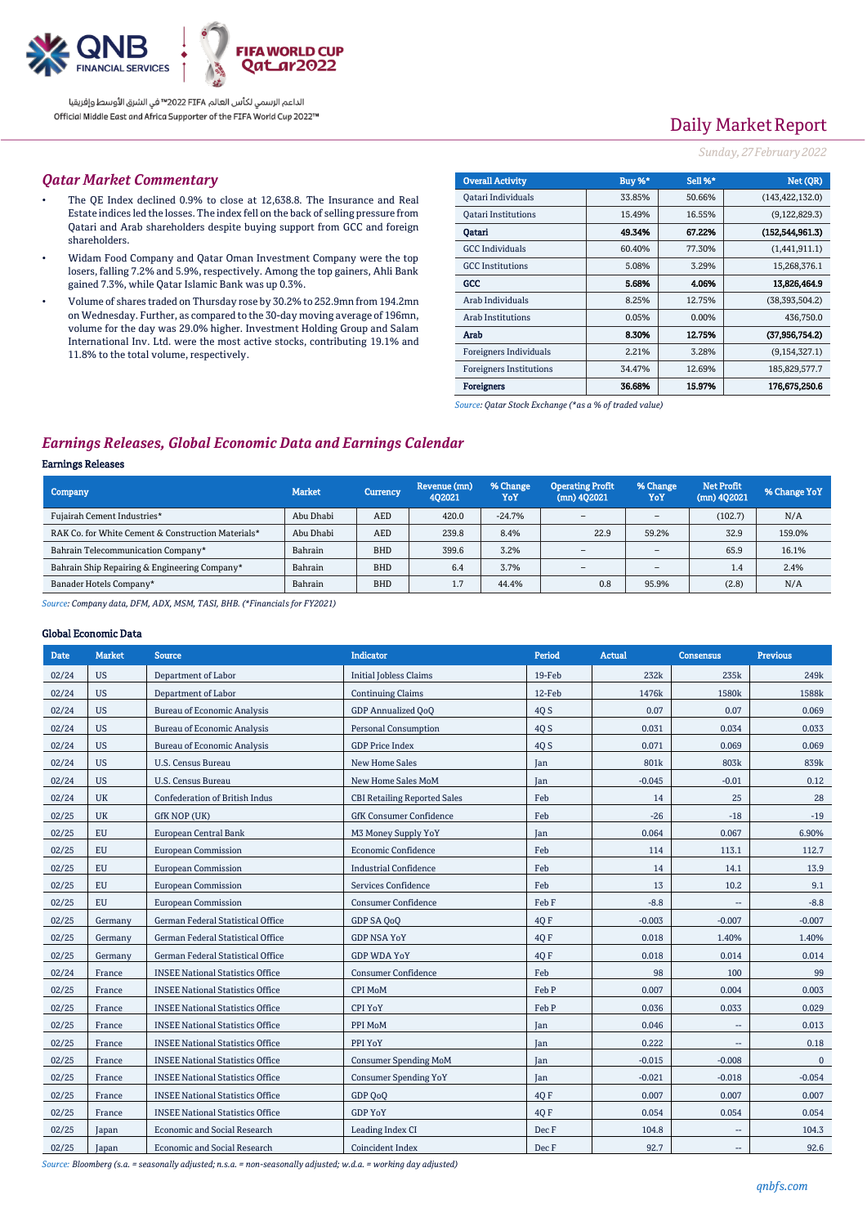

# Daily Market Report

### *Sunday, 27February2022*

#### *Qatar Market Commentary*

- The QE Index declined 0.9% to close at 12,638.8. The Insurance and Real Estate indices led the losses. The index fell on the back of selling pressure from Qatari and Arab shareholders despite buying support from GCC and foreign shareholders.
- Widam Food Company and Qatar Oman Investment Company were the top losers, falling 7.2% and 5.9%, respectively. Among the top gainers, Ahli Bank gained 7.3%, while Qatar Islamic Bank was up 0.3%.
- Volume of shares traded on Thursday rose by 30.2% to 252.9mn from 194.2mn on Wednesday. Further, as compared to the 30-day moving average of 196mn, volume for the day was 29.0% higher. Investment Holding Group and Salam International Inv. Ltd. were the most active stocks, contributing 19.1% and 11.8% to the total volume, respectively.

| <b>Overall Activity</b>        | <b>Buy %*</b> | Sell %* | Net (QR)          |
|--------------------------------|---------------|---------|-------------------|
| Qatari Individuals             | 33.85%        | 50.66%  | (143, 422, 132.0) |
| <b>Oatari Institutions</b>     | 15.49%        | 16.55%  | (9, 122, 829.3)   |
| Oatari                         | 49.34%        | 67.22%  | (152.544.961.3)   |
| <b>GCC</b> Individuals         | 60.40%        | 77.30%  | (1,441,911.1)     |
| <b>GCC</b> Institutions        | 5.08%         | 3.29%   | 15,268,376.1      |
| GCC                            | 5.68%         | 4.06%   | 13,826,464.9      |
| Arab Individuals               | 8.25%         | 12.75%  | (38, 393, 504.2)  |
| Arab Institutions              | 0.05%         | 0.00%   | 436,750.0         |
| Arab                           | 8.30%         | 12.75%  | (37.956.754.2)    |
| Foreigners Individuals         | 2.21%         | 3.28%   | (9, 154, 327.1)   |
| <b>Foreigners Institutions</b> | 34.47%        | 12.69%  | 185,829,577.7     |
| <b>Foreigners</b>              | 36.68%        | 15.97%  | 176,675,250.6     |

*Source: Qatar Stock Exchange (\*as a % of traded value)*

### *Earnings Releases, Global Economic Data and Earnings Calendar*

#### Earnings Releases

| <b>Company</b>                                     | <b>Market</b> | <b>Currency</b> | Revenue (mn)<br>402021 | % Change<br>YoY | <b>Operating Profit</b><br>$(mn)$ 402021 | % Change<br>YoY          | Net Profit<br>$(mn)$ 402021 | % Change YoY |
|----------------------------------------------------|---------------|-----------------|------------------------|-----------------|------------------------------------------|--------------------------|-----------------------------|--------------|
| Fujairah Cement Industries*                        | Abu Dhabi     | <b>AED</b>      | 420.0                  | $-24.7%$        | $\overline{\phantom{a}}$                 | $\overline{\phantom{a}}$ | (102.7)                     | N/A          |
| RAK Co. for White Cement & Construction Materials* | Abu Dhabi     | <b>AED</b>      | 239.8                  | 8.4%            | 22.9                                     | 59.2%                    | 32.9                        | 159.0%       |
| Bahrain Telecommunication Company*                 | Bahrain       | <b>BHD</b>      | 399.6                  | 3.2%            | $\overline{\phantom{a}}$                 | $\overline{\phantom{a}}$ | 65.9                        | 16.1%        |
| Bahrain Ship Repairing & Engineering Company*      | Bahrain       | <b>BHD</b>      | 6.4                    | 3.7%            | $\overline{\phantom{a}}$                 | $\overline{\phantom{a}}$ | 1.4                         | 2.4%         |
| Banader Hotels Company*                            | Bahrain       | <b>BHD</b>      | 1.7                    | 44.4%           | 0.8                                      | 95.9%                    | (2.8)                       | N/A          |

*Source: Company data, DFM, ADX, MSM, TASI, BHB. (\*Financials for FY2021)*

#### Global Economic Data

| <b>Date</b> | <b>Market</b> | <b>Source</b>                           | <b>Indicator</b>                    | Period     | Actual   | <b>Consensus</b>         | <b>Previous</b> |
|-------------|---------------|-----------------------------------------|-------------------------------------|------------|----------|--------------------------|-----------------|
| 02/24       | <b>US</b>     | Department of Labor                     | <b>Initial Jobless Claims</b>       | 19-Feb     | 232k     | 235k                     | 249k            |
| 02/24       | <b>US</b>     | Department of Labor                     | <b>Continuing Claims</b>            | 12-Feb     | 1476k    | 1580 <sub>k</sub>        | 1588k           |
| 02/24       | <b>US</b>     | <b>Bureau of Economic Analysis</b>      | <b>GDP</b> Annualized OoO           | 40 S       | 0.07     | 0.07                     | 0.069           |
| 02/24       | <b>US</b>     | <b>Bureau of Economic Analysis</b>      | <b>Personal Consumption</b>         | 40 S       | 0.031    | 0.034                    | 0.033           |
| 02/24       | <b>US</b>     | <b>Bureau of Economic Analysis</b>      | <b>GDP Price Index</b>              | 40 S       | 0.071    | 0.069                    | 0.069           |
| 02/24       | <b>US</b>     | <b>U.S. Census Bureau</b>               | <b>New Home Sales</b>               | Ian        | 801k     | 803k                     | 839k            |
| 02/24       | <b>US</b>     | <b>U.S. Census Bureau</b>               | New Home Sales MoM                  | Jan        | $-0.045$ | $-0.01$                  | 0.12            |
| 02/24       | <b>UK</b>     | <b>Confederation of British Indus</b>   | <b>CBI Retailing Reported Sales</b> | Feb        | 14       | 25                       | 28              |
| 02/25       | UK            | GfK NOP (UK)                            | <b>GfK Consumer Confidence</b>      | Feb        | $-26$    | $-18$                    | $-19$           |
| 02/25       | <b>EU</b>     | <b>European Central Bank</b>            | M3 Money Supply YoY                 | Jan        | 0.064    | 0.067                    | 6.90%           |
| 02/25       | <b>EU</b>     | <b>European Commission</b>              | <b>Economic Confidence</b>          | Feb        | 114      | 113.1                    | 112.7           |
| 02/25       | EU            | <b>European Commission</b>              | <b>Industrial Confidence</b>        | Feb        | 14       | 14.1                     | 13.9            |
| 02/25       | <b>EU</b>     | <b>European Commission</b>              | Services Confidence                 | Feb        | 13       | 10.2                     | 9.1             |
| 02/25       | <b>EU</b>     | <b>European Commission</b>              | <b>Consumer Confidence</b>          | Feb F      | $-8.8$   | $\overline{a}$           | $-8.8$          |
| 02/25       | Germany       | German Federal Statistical Office       | GDP SA OoO                          | 40 F       | $-0.003$ | $-0.007$                 | $-0.007$        |
| 02/25       | Germany       | German Federal Statistical Office       | <b>GDP NSA YoY</b>                  | 40 F       | 0.018    | 1.40%                    | 1.40%           |
| 02/25       | Germany       | German Federal Statistical Office       | <b>GDP WDA YoY</b>                  | 40 F       | 0.018    | 0.014                    | 0.014           |
| 02/24       | France        | <b>INSEE National Statistics Office</b> | <b>Consumer Confidence</b>          | Feb        | 98       | 100                      | 99              |
| 02/25       | France        | <b>INSEE National Statistics Office</b> | CPI MoM                             | Feb P      | 0.007    | 0.004                    | 0.003           |
| 02/25       | France        | <b>INSEE National Statistics Office</b> | <b>CPI YoY</b>                      | Feb P      | 0.036    | 0.033                    | 0.029           |
| 02/25       | France        | <b>INSEE National Statistics Office</b> | PPI MoM                             | <b>Jan</b> | 0.046    | $\overline{\phantom{a}}$ | 0.013           |
| 02/25       | France        | <b>INSEE National Statistics Office</b> | PPI YoY                             | Jan        | 0.222    | $\overline{a}$           | 0.18            |
| 02/25       | France        | <b>INSEE National Statistics Office</b> | <b>Consumer Spending MoM</b>        | <b>Jan</b> | $-0.015$ | $-0.008$                 | $\mathbf{0}$    |
| 02/25       | France        | <b>INSEE National Statistics Office</b> | <b>Consumer Spending YoY</b>        | Jan        | $-0.021$ | $-0.018$                 | $-0.054$        |
| 02/25       | France        | <b>INSEE National Statistics Office</b> | GDP OoO                             | 40 F       | 0.007    | 0.007                    | 0.007           |
| 02/25       | France        | <b>INSEE National Statistics Office</b> | <b>GDP YoY</b>                      | 40 F       | 0.054    | 0.054                    | 0.054           |
| 02/25       | Japan         | <b>Economic and Social Research</b>     | Leading Index CI                    | Dec F      | 104.8    | --                       | 104.3           |
| 02/25       | Japan         | <b>Economic and Social Research</b>     | Coincident Index                    | Dec F      | 92.7     | $\overline{\phantom{a}}$ | 92.6            |

*Source: Bloomberg (s.a. = seasonally adjusted; n.s.a. = non-seasonally adjusted; w.d.a. = working day adjusted)*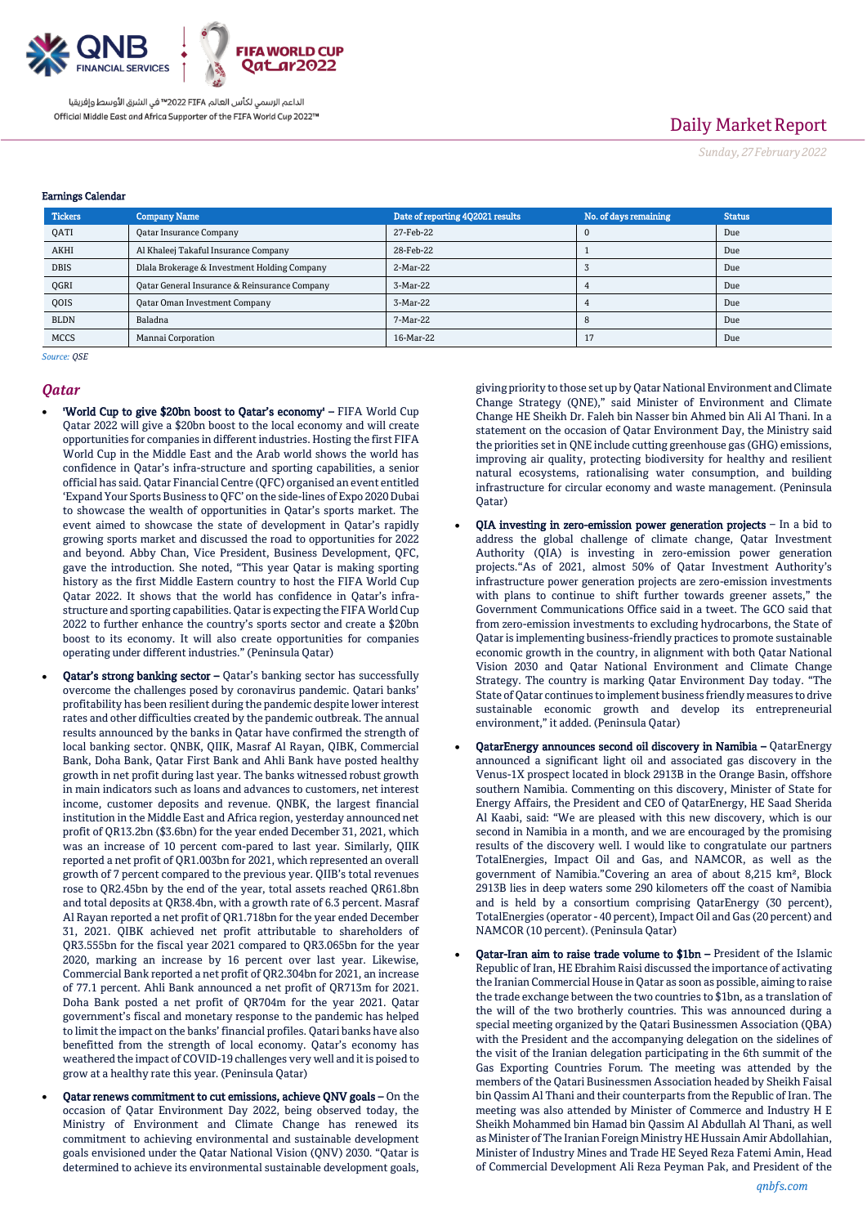

# Daily Market Report

*Sunday, 27February2022*

#### Earnings Calendar

| <b>Tickers</b> | <b>Company Name</b>                           | Date of reporting 4Q2021 results | No. of days remaining | <b>Status</b> |
|----------------|-----------------------------------------------|----------------------------------|-----------------------|---------------|
| <b>QATI</b>    | <b>Qatar Insurance Company</b>                | 27-Feb-22                        |                       | Due           |
| <b>AKHI</b>    | Al Khaleej Takaful Insurance Company          | 28-Feb-22                        |                       | Due           |
| <b>DBIS</b>    | Dlala Brokerage & Investment Holding Company  | 2-Mar-22                         |                       | Due           |
| OGRI           | Oatar General Insurance & Reinsurance Company | 3-Mar-22                         |                       | Due           |
| QOIS           | <b>Qatar Oman Investment Company</b>          | 3-Mar-22                         |                       | Due           |
| <b>BLDN</b>    | Baladna                                       | 7-Mar-22                         |                       | Due           |
| <b>MCCS</b>    | Mannai Corporation                            | 16-Mar-22                        |                       | Due           |

*Source: QSE*

#### *Qatar*

- 'World Cup to give \$20bn boost to Qatar's economy' FIFA World Cup Qatar 2022 will give a \$20bn boost to the local economy and will create opportunities for companies in different industries. Hosting the first FIFA World Cup in the Middle East and the Arab world shows the world has confidence in Qatar's infra-structure and sporting capabilities, a senior official has said. Qatar Financial Centre (QFC) organised an event entitled 'Expand Your Sports Business to QFC' on the side-lines of Expo 2020 Dubai to showcase the wealth of opportunities in Qatar's sports market. The event aimed to showcase the state of development in Qatar's rapidly growing sports market and discussed the road to opportunities for 2022 and beyond. Abby Chan, Vice President, Business Development, QFC, gave the introduction. She noted, "This year Qatar is making sporting history as the first Middle Eastern country to host the FIFA World Cup Qatar 2022. It shows that the world has confidence in Qatar's infrastructure and sporting capabilities. Qatar is expecting the FIFA World Cup 2022 to further enhance the country's sports sector and create a \$20bn boost to its economy. It will also create opportunities for companies operating under different industries." (Peninsula Qatar)
- Qatar's strong banking sector Qatar's banking sector has successfully overcome the challenges posed by coronavirus pandemic. Qatari banks' profitability has been resilient during the pandemic despite lower interest rates and other difficulties created by the pandemic outbreak. The annual results announced by the banks in Qatar have confirmed the strength of local banking sector. QNBK, QIIK, Masraf Al Rayan, QIBK, Commercial Bank, Doha Bank, Qatar First Bank and Ahli Bank have posted healthy growth in net profit during last year. The banks witnessed robust growth in main indicators such as loans and advances to customers, net interest income, customer deposits and revenue. QNBK, the largest financial institution in the Middle East and Africa region, yesterday announced net profit of QR13.2bn (\$3.6bn) for the year ended December 31, 2021, which was an increase of 10 percent com-pared to last year. Similarly, QIIK reported a net profit of QR1.003bn for 2021, which represented an overall growth of 7 percent compared to the previous year. QIIB's total revenues rose to QR2.45bn by the end of the year, total assets reached QR61.8bn and total deposits at QR38.4bn, with a growth rate of 6.3 percent. Masraf Al Rayan reported a net profit of QR1.718bn for the year ended December 31, 2021. QIBK achieved net profit attributable to shareholders of QR3.555bn for the fiscal year 2021 compared to QR3.065bn for the year 2020, marking an increase by 16 percent over last year. Likewise, Commercial Bank reported a net profit of QR2.304bn for 2021, an increase of 77.1 percent. Ahli Bank announced a net profit of QR713m for 2021. Doha Bank posted a net profit of QR704m for the year 2021. Qatar government's fiscal and monetary response to the pandemic has helped to limit the impact on the banks' financial profiles. Qatari banks have also benefitted from the strength of local economy. Qatar's economy has weathered the impact of COVID-19 challenges very well and it is poised to grow at a healthy rate this year. (Peninsula Qatar)
- Qatar renews commitment to cut emissions, achieve QNV goals On the occasion of Qatar Environment Day 2022, being observed today, the Ministry of Environment and Climate Change has renewed its commitment to achieving environmental and sustainable development goals envisioned under the Qatar National Vision (QNV) 2030. "Qatar is determined to achieve its environmental sustainable development goals,

giving priority to those set up by Qatar National Environment and Climate Change Strategy (QNE)," said Minister of Environment and Climate Change HE Sheikh Dr. Faleh bin Nasser bin Ahmed bin Ali Al Thani. In a statement on the occasion of Qatar Environment Day, the Ministry said the priorities set in QNE include cutting greenhouse gas (GHG) emissions, improving air quality, protecting biodiversity for healthy and resilient natural ecosystems, rationalising water consumption, and building infrastructure for circular economy and waste management. (Peninsula Qatar)

- QIA investing in zero-emission power generation projects In a bid to address the global challenge of climate change, Qatar Investment Authority (QIA) is investing in zero-emission power generation projects."As of 2021, almost 50% of Qatar Investment Authority's infrastructure power generation projects are zero-emission investments with plans to continue to shift further towards greener assets," the Government Communications Office said in a tweet. The GCO said that from zero-emission investments to excluding hydrocarbons, the State of Qatar is implementing business-friendly practices to promote sustainable economic growth in the country, in alignment with both Qatar National Vision 2030 and Qatar National Environment and Climate Change Strategy. The country is marking Qatar Environment Day today. "The State of Qatar continues to implement business friendly measures to drive sustainable economic growth and develop its entrepreneurial environment," it added. (Peninsula Qatar)
- QatarEnergy announces second oil discovery in Namibia QatarEnergy announced a significant light oil and associated gas discovery in the Venus-1X prospect located in block 2913B in the Orange Basin, offshore southern Namibia. Commenting on this discovery, Minister of State for Energy Affairs, the President and CEO of QatarEnergy, HE Saad Sherida Al Kaabi, said: "We are pleased with this new discovery, which is our second in Namibia in a month, and we are encouraged by the promising results of the discovery well. I would like to congratulate our partners TotalEnergies, Impact Oil and Gas, and NAMCOR, as well as the government of Namibia."Covering an area of about 8,215 km², Block 2913B lies in deep waters some 290 kilometers off the coast of Namibia and is held by a consortium comprising QatarEnergy (30 percent), TotalEnergies (operator - 40 percent), Impact Oil and Gas (20 percent) and NAMCOR (10 percent). (Peninsula Qatar)
- Qatar-Iran aim to raise trade volume to \$1bn President of the Islamic Republic of Iran, HE Ebrahim Raisi discussed the importance of activating the Iranian Commercial House in Qatar as soon as possible, aiming to raise the trade exchange between the two countries to \$1bn, as a translation of the will of the two brotherly countries. This was announced during a special meeting organized by the Qatari Businessmen Association (QBA) with the President and the accompanying delegation on the sidelines of the visit of the Iranian delegation participating in the 6th summit of the Gas Exporting Countries Forum. The meeting was attended by the members of the Qatari Businessmen Association headed by Sheikh Faisal bin Qassim Al Thani and their counterparts from the Republic of Iran. The meeting was also attended by Minister of Commerce and Industry H E Sheikh Mohammed bin Hamad bin Qassim Al Abdullah Al Thani, as well as Minister of The Iranian Foreign Ministry HE Hussain Amir Abdollahian, Minister of Industry Mines and Trade HE Seyed Reza Fatemi Amin, Head of Commercial Development Ali Reza Peyman Pak, and President of the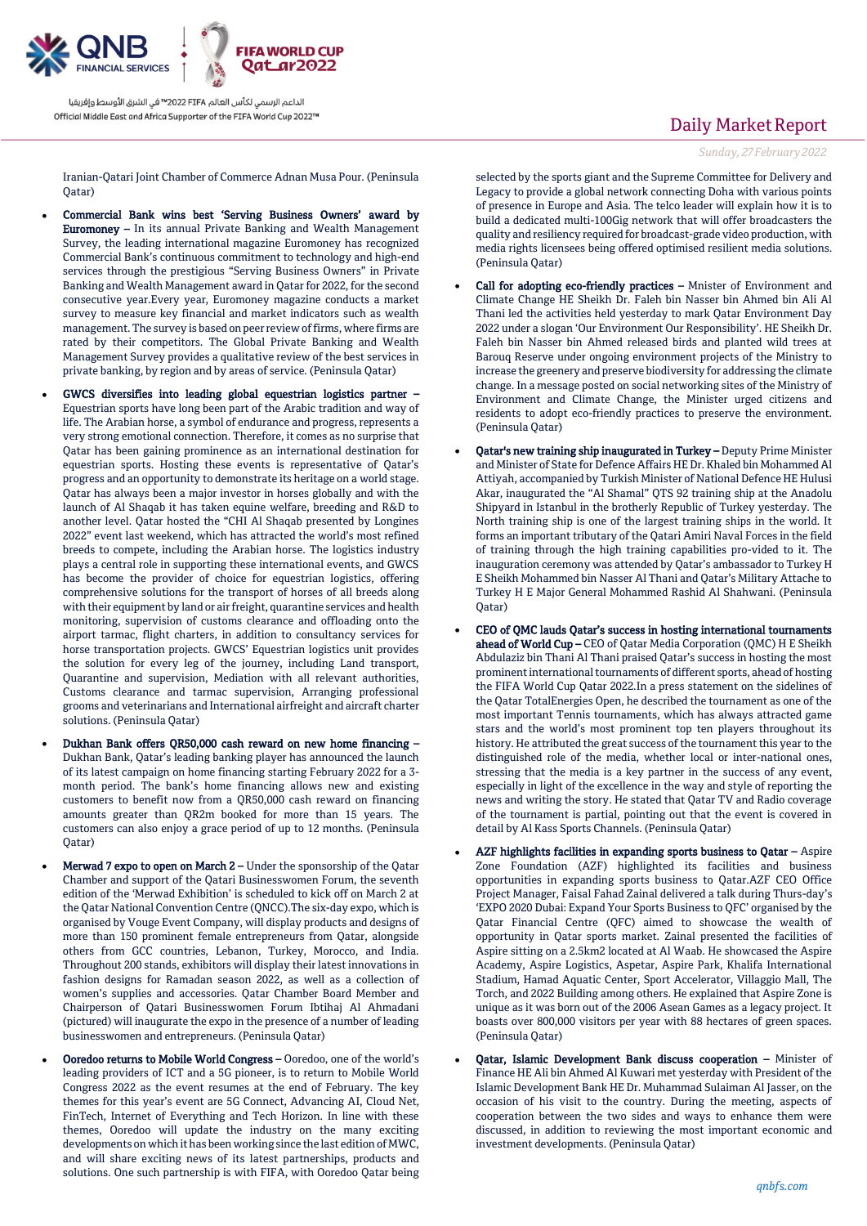

Iranian-Qatari Joint Chamber of Commerce Adnan Musa Pour. (Peninsula Qatar)

- Commercial Bank wins best 'Serving Business Owners' award by Euromoney – In its annual Private Banking and Wealth Management Survey, the leading international magazine Euromoney has recognized Commercial Bank's continuous commitment to technology and high-end services through the prestigious "Serving Business Owners" in Private Banking and Wealth Management award in Qatar for 2022, for the second consecutive year.Every year, Euromoney magazine conducts a market survey to measure key financial and market indicators such as wealth management. The survey is based on peer review of firms, where firms are rated by their competitors. The Global Private Banking and Wealth Management Survey provides a qualitative review of the best services in private banking, by region and by areas of service. (Peninsula Qatar)
- GWCS diversifies into leading global equestrian logistics partner Equestrian sports have long been part of the Arabic tradition and way of life. The Arabian horse, a symbol of endurance and progress, represents a very strong emotional connection. Therefore, it comes as no surprise that Qatar has been gaining prominence as an international destination for equestrian sports. Hosting these events is representative of Qatar's progress and an opportunity to demonstrate its heritage on a world stage. Qatar has always been a major investor in horses globally and with the launch of Al Shaqab it has taken equine welfare, breeding and R&D to another level. Qatar hosted the "CHI Al Shaqab presented by Longines 2022" event last weekend, which has attracted the world's most refined breeds to compete, including the Arabian horse. The logistics industry plays a central role in supporting these international events, and GWCS has become the provider of choice for equestrian logistics, offering comprehensive solutions for the transport of horses of all breeds along with their equipment by land or air freight, quarantine services and health monitoring, supervision of customs clearance and offloading onto the airport tarmac, flight charters, in addition to consultancy services for horse transportation projects. GWCS' Equestrian logistics unit provides the solution for every leg of the journey, including Land transport, Quarantine and supervision, Mediation with all relevant authorities, Customs clearance and tarmac supervision, Arranging professional grooms and veterinarians and International airfreight and aircraft charter solutions. (Peninsula Qatar)
- Dukhan Bank offers QR50,000 cash reward on new home financing Dukhan Bank, Qatar's leading banking player has announced the launch of its latest campaign on home financing starting February 2022 for a 3 month period. The bank's home financing allows new and existing customers to benefit now from a QR50,000 cash reward on financing amounts greater than QR2m booked for more than 15 years. The customers can also enjoy a grace period of up to 12 months. (Peninsula Qatar)
- Merwad 7 expo to open on March 2 Under the sponsorship of the Qatar Chamber and support of the Qatari Businesswomen Forum, the seventh edition of the 'Merwad Exhibition' is scheduled to kick off on March 2 at the Qatar National Convention Centre (QNCC).The six-day expo, which is organised by Vouge Event Company, will display products and designs of more than 150 prominent female entrepreneurs from Qatar, alongside others from GCC countries, Lebanon, Turkey, Morocco, and India. Throughout 200 stands, exhibitors will display their latest innovations in fashion designs for Ramadan season 2022, as well as a collection of women's supplies and accessories. Qatar Chamber Board Member and Chairperson of Qatari Businesswomen Forum Ibtihaj Al Ahmadani (pictured) will inaugurate the expo in the presence of a number of leading businesswomen and entrepreneurs. (Peninsula Qatar)
- Ooredoo returns to Mobile World Congress Ooredoo, one of the world's leading providers of ICT and a 5G pioneer, is to return to Mobile World Congress 2022 as the event resumes at the end of February. The key themes for this year's event are 5G Connect, Advancing AI, Cloud Net, FinTech, Internet of Everything and Tech Horizon. In line with these themes, Ooredoo will update the industry on the many exciting developments on which it has been working since the last edition of MWC, and will share exciting news of its latest partnerships, products and solutions. One such partnership is with FIFA, with Ooredoo Qatar being

# Daily Market Report

*Sunday, 27February2022*

selected by the sports giant and the Supreme Committee for Delivery and Legacy to provide a global network connecting Doha with various points of presence in Europe and Asia. The telco leader will explain how it is to build a dedicated multi-100Gig network that will offer broadcasters the quality and resiliency required for broadcast-grade video production, with media rights licensees being offered optimised resilient media solutions. (Peninsula Qatar)

- Call for adopting eco-friendly practices Mnister of Environment and Climate Change HE Sheikh Dr. Faleh bin Nasser bin Ahmed bin Ali Al Thani led the activities held yesterday to mark Qatar Environment Day 2022 under a slogan 'Our Environment Our Responsibility'. HE Sheikh Dr. Faleh bin Nasser bin Ahmed released birds and planted wild trees at Barouq Reserve under ongoing environment projects of the Ministry to increase the greenery and preserve biodiversity for addressing the climate change. In a message posted on social networking sites of the Ministry of Environment and Climate Change, the Minister urged citizens and residents to adopt eco-friendly practices to preserve the environment. (Peninsula Qatar)
- Qatar's new training ship inaugurated in Turkey Deputy Prime Minister and Minister of State for Defence Affairs HE Dr. Khaled bin Mohammed Al Attiyah, accompanied by Turkish Minister of National Defence HE Hulusi Akar, inaugurated the "Al Shamal" QTS 92 training ship at the Anadolu Shipyard in Istanbul in the brotherly Republic of Turkey yesterday. The North training ship is one of the largest training ships in the world. It forms an important tributary of the Qatari Amiri Naval Forces in the field of training through the high training capabilities pro-vided to it. The inauguration ceremony was attended by Qatar's ambassador to Turkey H E Sheikh Mohammed bin Nasser Al Thani and Qatar's Military Attache to Turkey H E Major General Mohammed Rashid Al Shahwani. (Peninsula Qatar)
- CEO of QMC lauds Qatar's success in hosting international tournaments ahead of World Cup - CEO of Qatar Media Corporation (QMC) H E Sheikh Abdulaziz bin Thani Al Thani praised Qatar's success in hosting the most prominent international tournaments of different sports, ahead of hosting the FIFA World Cup Qatar 2022.In a press statement on the sidelines of the Qatar TotalEnergies Open, he described the tournament as one of the most important Tennis tournaments, which has always attracted game stars and the world's most prominent top ten players throughout its history. He attributed the great success of the tournament this year to the distinguished role of the media, whether local or inter-national ones, stressing that the media is a key partner in the success of any event, especially in light of the excellence in the way and style of reporting the news and writing the story. He stated that Qatar TV and Radio coverage of the tournament is partial, pointing out that the event is covered in detail by Al Kass Sports Channels. (Peninsula Qatar)
- AZF highlights facilities in expanding sports business to Qatar Aspire Zone Foundation (AZF) highlighted its facilities and business opportunities in expanding sports business to Qatar.AZF CEO Office Project Manager, Faisal Fahad Zainal delivered a talk during Thurs-day's 'EXPO 2020 Dubai: Expand Your Sports Business to QFC' organised by the Qatar Financial Centre (QFC) aimed to showcase the wealth of opportunity in Qatar sports market. Zainal presented the facilities of Aspire sitting on a 2.5km2 located at Al Waab. He showcased the Aspire Academy, Aspire Logistics, Aspetar, Aspire Park, Khalifa International Stadium, Hamad Aquatic Center, Sport Accelerator, Villaggio Mall, The Torch, and 2022 Building among others. He explained that Aspire Zone is unique as it was born out of the 2006 Asean Games as a legacy project. It boasts over 800,000 visitors per year with 88 hectares of green spaces. (Peninsula Qatar)
- Qatar, Islamic Development Bank discuss cooperation Minister of Finance HE Ali bin Ahmed Al Kuwari met yesterday with President of the Islamic Development Bank HE Dr. Muhammad Sulaiman Al Jasser, on the occasion of his visit to the country. During the meeting, aspects of cooperation between the two sides and ways to enhance them were discussed, in addition to reviewing the most important economic and investment developments. (Peninsula Qatar)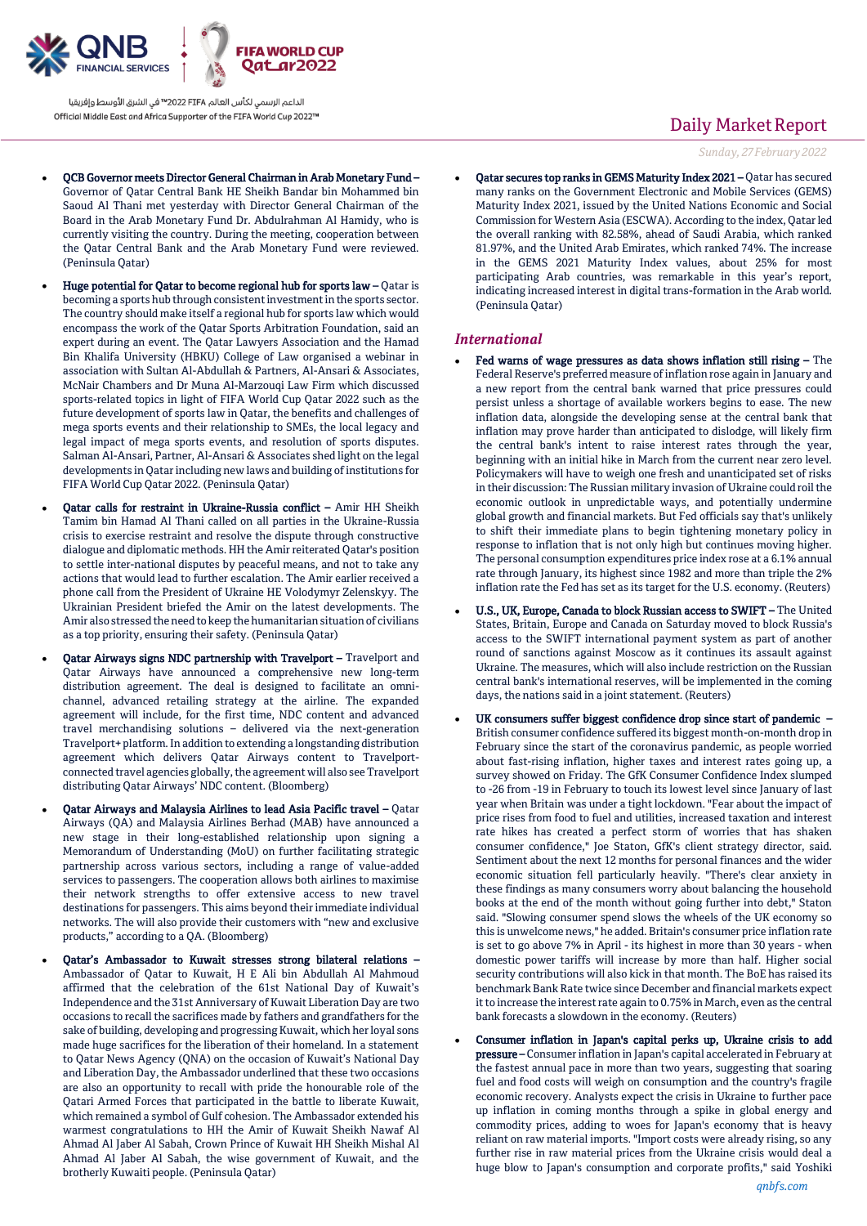

- QCB Governor meets Director General Chairman in Arab Monetary Fund Governor of Qatar Central Bank HE Sheikh Bandar bin Mohammed bin Saoud Al Thani met yesterday with Director General Chairman of the Board in the Arab Monetary Fund Dr. Abdulrahman Al Hamidy, who is currently visiting the country. During the meeting, cooperation between the Qatar Central Bank and the Arab Monetary Fund were reviewed. (Peninsula Qatar)
- Huge potential for Qatar to become regional hub for sports law Qatar is becoming a sports hub through consistent investment in the sports sector. The country should make itself a regional hub for sports law which would encompass the work of the Qatar Sports Arbitration Foundation, said an expert during an event. The Qatar Lawyers Association and the Hamad Bin Khalifa University (HBKU) College of Law organised a webinar in association with Sultan Al-Abdullah & Partners, Al-Ansari & Associates, McNair Chambers and Dr Muna Al-Marzouqi Law Firm which discussed sports-related topics in light of FIFA World Cup Qatar 2022 such as the future development of sports law in Qatar, the benefits and challenges of mega sports events and their relationship to SMEs, the local legacy and legal impact of mega sports events, and resolution of sports disputes. Salman Al-Ansari, Partner, Al-Ansari & Associates shed light on the legal developments in Qatar including new laws and building of institutions for FIFA World Cup Qatar 2022. (Peninsula Qatar)
- Qatar calls for restraint in Ukraine-Russia conflict Amir HH Sheikh Tamim bin Hamad Al Thani called on all parties in the Ukraine-Russia crisis to exercise restraint and resolve the dispute through constructive dialogue and diplomatic methods. HH the Amir reiterated Qatar's position to settle inter-national disputes by peaceful means, and not to take any actions that would lead to further escalation. The Amir earlier received a phone call from the President of Ukraine HE Volodymyr Zelenskyy. The Ukrainian President briefed the Amir on the latest developments. The Amir also stressed the need to keep the humanitarian situation of civilians as a top priority, ensuring their safety. (Peninsula Qatar)
- Qatar Airways signs NDC partnership with Travelport Travelport and Qatar Airways have announced a comprehensive new long-term distribution agreement. The deal is designed to facilitate an omnichannel, advanced retailing strategy at the airline. The expanded agreement will include, for the first time, NDC content and advanced travel merchandising solutions – delivered via the next-generation Travelport+ platform. In addition to extending a longstanding distribution agreement which delivers Qatar Airways content to Travelportconnected travel agencies globally, the agreement will also see Travelport distributing Qatar Airways' NDC content. (Bloomberg)
- Qatar Airways and Malaysia Airlines to lead Asia Pacific travel Qatar Airways (QA) and Malaysia Airlines Berhad (MAB) have announced a new stage in their long-established relationship upon signing a Memorandum of Understanding (MoU) on further facilitating strategic partnership across various sectors, including a range of value-added services to passengers. The cooperation allows both airlines to maximise their network strengths to offer extensive access to new travel destinations for passengers. This aims beyond their immediate individual networks. The will also provide their customers with "new and exclusive products," according to a QA. (Bloomberg)
- Qatar's Ambassador to Kuwait stresses strong bilateral relations Ambassador of Qatar to Kuwait, H E Ali bin Abdullah Al Mahmoud affirmed that the celebration of the 61st National Day of Kuwait's Independence and the 31st Anniversary of Kuwait Liberation Day are two occasions to recall the sacrifices made by fathers and grandfathers for the sake of building, developing and progressing Kuwait, which her loyal sons made huge sacrifices for the liberation of their homeland. In a statement to Qatar News Agency (QNA) on the occasion of Kuwait's National Day and Liberation Day, the Ambassador underlined that these two occasions are also an opportunity to recall with pride the honourable role of the Qatari Armed Forces that participated in the battle to liberate Kuwait, which remained a symbol of Gulf cohesion. The Ambassador extended his warmest congratulations to HH the Amir of Kuwait Sheikh Nawaf Al Ahmad Al Jaber Al Sabah, Crown Prince of Kuwait HH Sheikh Mishal Al Ahmad Al Jaber Al Sabah, the wise government of Kuwait, and the brotherly Kuwaiti people. (Peninsula Qatar)

# Daily Market Report

*Sunday, 27February2022*

 Qatar secures top ranks in GEMS Maturity Index 2021 – Qatar has secured many ranks on the Government Electronic and Mobile Services (GEMS) Maturity Index 2021, issued by the United Nations Economic and Social Commission for Western Asia (ESCWA). According to the index, Qatar led the overall ranking with 82.58%, ahead of Saudi Arabia, which ranked 81.97%, and the United Arab Emirates, which ranked 74%. The increase in the GEMS 2021 Maturity Index values, about 25% for most participating Arab countries, was remarkable in this year's report, indicating increased interest in digital trans-formation in the Arab world. (Peninsula Qatar)

### *International*

- Fed warns of wage pressures as data shows inflation still rising The Federal Reserve's preferred measure of inflation rose again in January and a new report from the central bank warned that price pressures could persist unless a shortage of available workers begins to ease. The new inflation data, alongside the developing sense at the central bank that inflation may prove harder than anticipated to dislodge, will likely firm the central bank's intent to raise interest rates through the year, beginning with an initial hike in March from the current near zero level. Policymakers will have to weigh one fresh and unanticipated set of risks in their discussion: The Russian military invasion of Ukraine could roil the economic outlook in unpredictable ways, and potentially undermine global growth and financial markets. But Fed officials say that's unlikely to shift their immediate plans to begin tightening monetary policy in response to inflation that is not only high but continues moving higher. The personal consumption expenditures price index rose at a 6.1% annual rate through January, its highest since 1982 and more than triple the 2% inflation rate the Fed has set as its target for the U.S. economy. (Reuters)
- U.S., UK, Europe, Canada to block Russian access to SWIFT The United States, Britain, Europe and Canada on Saturday moved to block Russia's access to the SWIFT international payment system as part of another round of sanctions against Moscow as it continues its assault against Ukraine. The measures, which will also include restriction on the Russian central bank's international reserves, will be implemented in the coming days, the nations said in a joint statement. (Reuters)
- UK consumers suffer biggest confidence drop since start of pandemic British consumer confidence suffered its biggest month-on-month drop in February since the start of the coronavirus pandemic, as people worried about fast-rising inflation, higher taxes and interest rates going up, a survey showed on Friday. The GfK Consumer Confidence Index slumped to -26 from -19 in February to touch its lowest level since January of last year when Britain was under a tight lockdown. "Fear about the impact of price rises from food to fuel and utilities, increased taxation and interest rate hikes has created a perfect storm of worries that has shaken consumer confidence," Joe Staton, GfK's client strategy director, said. Sentiment about the next 12 months for personal finances and the wider economic situation fell particularly heavily. "There's clear anxiety in these findings as many consumers worry about balancing the household books at the end of the month without going further into debt," Staton said. "Slowing consumer spend slows the wheels of the UK economy so this is unwelcome news," he added. Britain's consumer price inflation rate is set to go above 7% in April - its highest in more than 30 years - when domestic power tariffs will increase by more than half. Higher social security contributions will also kick in that month. The BoE has raised its benchmark Bank Rate twice since December and financial markets expect it to increase the interest rate again to 0.75% in March, even as the central bank forecasts a slowdown in the economy. (Reuters)
- Consumer inflation in Japan's capital perks up, Ukraine crisis to add pressure – Consumer inflation in Japan's capital accelerated in February at the fastest annual pace in more than two years, suggesting that soaring fuel and food costs will weigh on consumption and the country's fragile economic recovery. Analysts expect the crisis in Ukraine to further pace up inflation in coming months through a spike in global energy and commodity prices, adding to woes for Japan's economy that is heavy reliant on raw material imports. "Import costs were already rising, so any further rise in raw material prices from the Ukraine crisis would deal a huge blow to Japan's consumption and corporate profits," said Yoshiki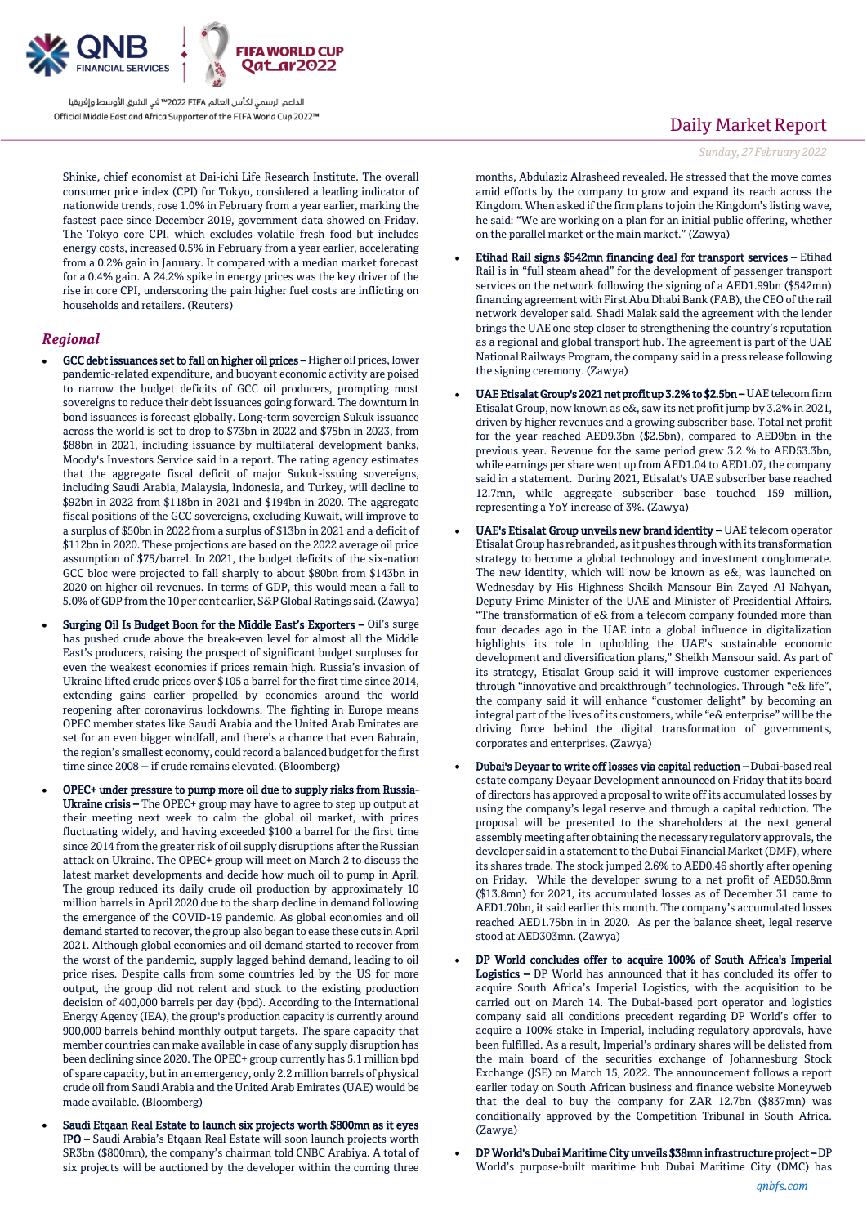

Shinke, chief economist at Dai-ichi Life Research Institute. The overall consumer price index (CPI) for Tokyo, considered a leading indicator of nationwide trends, rose 1.0% in February from a year earlier, marking the fastest pace since December 2019, government data showed on Friday. The Tokyo core CPI, which excludes volatile fresh food but includes energy costs, increased 0.5% in February from a year earlier, accelerating from a 0.2% gain in January. It compared with a median market forecast for a 0.4% gain. A 24.2% spike in energy prices was the key driver of the rise in core CPI, underscoring the pain higher fuel costs are inflicting on households and retailers. (Reuters)

### *Regional*

- GCC debt issuances set to fall on higher oil prices Higher oil prices, lower pandemic-related expenditure, and buoyant economic activity are poised to narrow the budget deficits of GCC oil producers, prompting most sovereigns to reduce their debt issuances going forward. The downturn in bond issuances is forecast globally. Long-term sovereign Sukuk issuance across the world is set to drop to \$73bn in 2022 and \$75bn in 2023, from \$88bn in 2021, including issuance by multilateral development banks, Moody's Investors Service said in a report. The rating agency estimates that the aggregate fiscal deficit of major Sukuk-issuing sovereigns, including Saudi Arabia, Malaysia, Indonesia, and Turkey, will decline to \$92bn in 2022 from \$118bn in 2021 and \$194bn in 2020. The aggregate fiscal positions of the GCC sovereigns, excluding Kuwait, will improve to a surplus of \$50bn in 2022 from a surplus of \$13bn in 2021 and a deficit of \$112bn in 2020. These projections are based on the 2022 average oil price assumption of \$75/barrel. In 2021, the budget deficits of the six-nation GCC bloc were projected to fall sharply to about \$80bn from \$143bn in 2020 on higher oil revenues. In terms of GDP, this would mean a fall to 5.0% of GDP from the 10 per cent earlier, S&P Global Ratings said. (Zawya)
- Surging Oil Is Budget Boon for the Middle East's Exporters Oil's surge has pushed crude above the break-even level for almost all the Middle East's producers, raising the prospect of significant budget surpluses for even the weakest economies if prices remain high. Russia's invasion of Ukraine lifted crude prices over \$105 a barrel for the first time since 2014, extending gains earlier propelled by economies around the world reopening after coronavirus lockdowns. The fighting in Europe means OPEC member states like Saudi Arabia and the United Arab Emirates are set for an even bigger windfall, and there's a chance that even Bahrain, the region's smallest economy, could record a balanced budget for the first time since 2008 -- if crude remains elevated. (Bloomberg)
- OPEC+ under pressure to pump more oil due to supply risks from Russia-Ukraine crisis – The OPEC+ group may have to agree to step up output at their meeting next week to calm the global oil market, with prices fluctuating widely, and having exceeded \$100 a barrel for the first time since 2014 from the greater risk of oil supply disruptions after the Russian attack on Ukraine. The OPEC+ group will meet on March 2 to discuss the latest market developments and decide how much oil to pump in April. The group reduced its daily crude oil production by approximately 10 million barrels in April 2020 due to the sharp decline in demand following the emergence of the COVID-19 pandemic. As global economies and oil demand started to recover, the group also began to ease these cuts in April 2021. Although global economies and oil demand started to recover from the worst of the pandemic, supply lagged behind demand, leading to oil price rises. Despite calls from some countries led by the US for more output, the group did not relent and stuck to the existing production decision of 400,000 barrels per day (bpd). According to the International Energy Agency (IEA), the group's production capacity is currently around 900,000 barrels behind monthly output targets. The spare capacity that member countries can make available in case of any supply disruption has been declining since 2020. The OPEC+ group currently has 5.1 million bpd of spare capacity, but in an emergency, only 2.2 million barrels of physical crude oil from Saudi Arabia and the United Arab Emirates (UAE) would be made available. (Bloomberg)
- Saudi Etqaan Real Estate to launch six projects worth \$800mn as it eyes IPO – Saudi Arabia's Etqaan Real Estate will soon launch projects worth SR3bn (\$800mn), the company's chairman told CNBC Arabiya. A total of six projects will be auctioned by the developer within the coming three

## Daily Market Report

*Sunday, 27February2022*

months, Abdulaziz Alrasheed revealed. He stressed that the move comes amid efforts by the company to grow and expand its reach across the Kingdom. When asked if the firm plans to join the Kingdom's listing wave, he said: "We are working on a plan for an initial public offering, whether on the parallel market or the main market." (Zawya)

- Etihad Rail signs \$542mn financing deal for transport services Etihad Rail is in "full steam ahead" for the development of passenger transport services on the network following the signing of a AED1.99bn (\$542mn) financing agreement with First Abu Dhabi Bank (FAB), the CEO of the rail network developer said. Shadi Malak said the agreement with the lender brings the UAE one step closer to strengthening the country's reputation as a regional and global transport hub. The agreement is part of the UAE National Railways Program, the company said in a press release following the signing ceremony. (Zawya)
- UAE Etisalat Group's 2021 net profit up 3.2% to \$2.5bn UAE telecom firm Etisalat Group, now known as e&, saw its net profit jump by 3.2% in 2021, driven by higher revenues and a growing subscriber base. Total net profit for the year reached AED9.3bn (\$2.5bn), compared to AED9bn in the previous year. Revenue for the same period grew 3.2 % to AED53.3bn, while earnings per share went up from AED1.04 to AED1.07, the company said in a statement. During 2021, Etisalat's UAE subscriber base reached 12.7mn, while aggregate subscriber base touched 159 million, representing a YoY increase of 3%. (Zawya)
- UAE's Etisalat Group unveils new brand identity UAE telecom operator Etisalat Group has rebranded, as it pushes through with its transformation strategy to become a global technology and investment conglomerate. The new identity, which will now be known as e&, was launched on Wednesday by His Highness Sheikh Mansour Bin Zayed Al Nahyan, Deputy Prime Minister of the UAE and Minister of Presidential Affairs. "The transformation of e& from a telecom company founded more than four decades ago in the UAE into a global influence in digitalization highlights its role in upholding the UAE's sustainable economic development and diversification plans," Sheikh Mansour said. As part of its strategy, Etisalat Group said it will improve customer experiences through "innovative and breakthrough" technologies. Through "e& life", the company said it will enhance "customer delight" by becoming an integral part of the lives of its customers, while "e& enterprise" will be the driving force behind the digital transformation of governments, corporates and enterprises. (Zawya)
- Dubai's Deyaar to write off losses via capital reduction Dubai-based real estate company Deyaar Development announced on Friday that its board of directors has approved a proposal to write off its accumulated losses by using the company's legal reserve and through a capital reduction. The proposal will be presented to the shareholders at the next general assembly meeting after obtaining the necessary regulatory approvals, the developer said in a statement to the Dubai Financial Market (DMF), where its shares trade. The stock jumped 2.6% to AED0.46 shortly after opening on Friday. While the developer swung to a net profit of AED50.8mn (\$13.8mn) for 2021, its accumulated losses as of December 31 came to AED1.70bn, it said earlier this month. The company's accumulated losses reached AED1.75bn in in 2020. As per the balance sheet, legal reserve stood at AED303mn. (Zawya)
- DP World concludes offer to acquire 100% of South Africa's Imperial Logistics – DP World has announced that it has concluded its offer to acquire South Africa's Imperial Logistics, with the acquisition to be carried out on March 14. The Dubai-based port operator and logistics company said all conditions precedent regarding DP World's offer to acquire a 100% stake in Imperial, including regulatory approvals, have been fulfilled. As a result, Imperial's ordinary shares will be delisted from the main board of the securities exchange of Johannesburg Stock Exchange (JSE) on March 15, 2022. The announcement follows a report earlier today on South African business and finance website Moneyweb that the deal to buy the company for ZAR 12.7bn (\$837mn) was conditionally approved by the Competition Tribunal in South Africa. (Zawya)
- DP World's Dubai Maritime City unveils \$38mn infrastructure project DP World's purpose-built maritime hub Dubai Maritime City (DMC) has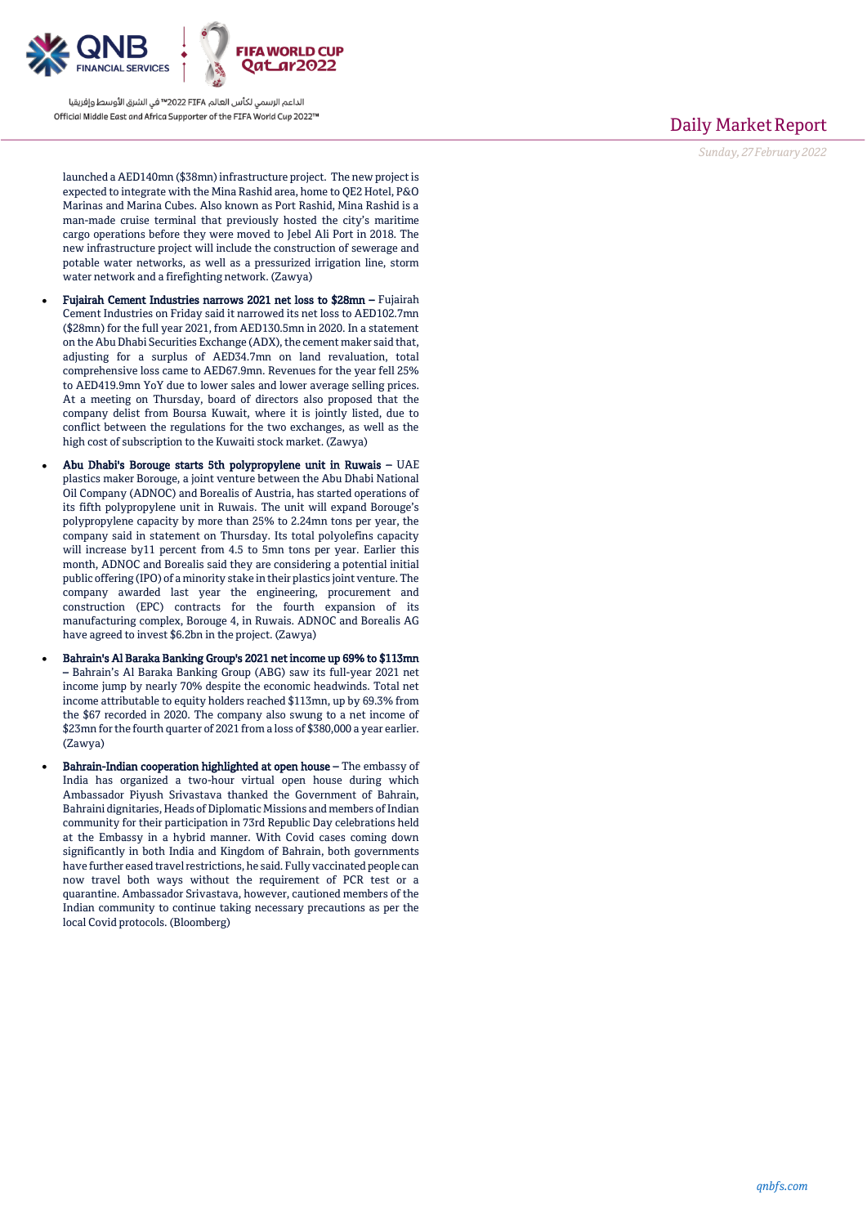

Daily Market Report

*Sunday, 27February2022*

launched a AED140mn (\$38mn) infrastructure project. The new project is expected to integrate with the Mina Rashid area, home to QE2 Hotel, P&O Marinas and Marina Cubes. Also known as Port Rashid, Mina Rashid is a man-made cruise terminal that previously hosted the city's maritime cargo operations before they were moved to Jebel Ali Port in 2018. The new infrastructure project will include the construction of sewerage and potable water networks, as well as a pressurized irrigation line, storm water network and a firefighting network. (Zawya)

- Fujairah Cement Industries narrows 2021 net loss to \$28mn Fujairah Cement Industries on Friday said it narrowed its net loss to AED102.7mn (\$28mn) for the full year 2021, from AED130.5mn in 2020. In a statement on the Abu Dhabi Securities Exchange (ADX), the cement maker said that, adjusting for a surplus of AED34.7mn on land revaluation, total comprehensive loss came to AED67.9mn. Revenues for the year fell 25% to AED419.9mn YoY due to lower sales and lower average selling prices. At a meeting on Thursday, board of directors also proposed that the company delist from Boursa Kuwait, where it is jointly listed, due to conflict between the regulations for the two exchanges, as well as the high cost of subscription to the Kuwaiti stock market. (Zawya)
- Abu Dhabi's Borouge starts 5th polypropylene unit in Ruwais UAE plastics maker Borouge, a joint venture between the Abu Dhabi National Oil Company (ADNOC) and Borealis of Austria, has started operations of its fifth polypropylene unit in Ruwais. The unit will expand Borouge's polypropylene capacity by more than 25% to 2.24mn tons per year, the company said in statement on Thursday. Its total polyolefins capacity will increase by11 percent from 4.5 to 5mn tons per year. Earlier this month, ADNOC and Borealis said they are considering a potential initial public offering (IPO) of a minority stake in their plastics joint venture. The company awarded last year the engineering, procurement and construction (EPC) contracts for the fourth expansion of its manufacturing complex, Borouge 4, in Ruwais. ADNOC and Borealis AG have agreed to invest \$6.2bn in the project. (Zawya)
- Bahrain's Al Baraka Banking Group's 2021 net income up 69% to \$113mn – Bahrain's Al Baraka Banking Group (ABG) saw its full-year 2021 net income jump by nearly 70% despite the economic headwinds. Total net income attributable to equity holders reached \$113mn, up by 69.3% from the \$67 recorded in 2020. The company also swung to a net income of \$23mn for the fourth quarter of 2021 from a loss of \$380,000 a year earlier. (Zawya)
- Bahrain-Indian cooperation highlighted at open house The embassy of India has organized a two-hour virtual open house during which Ambassador Piyush Srivastava thanked the Government of Bahrain, Bahraini dignitaries, Heads of Diplomatic Missions and members of Indian community for their participation in 73rd Republic Day celebrations held at the Embassy in a hybrid manner. With Covid cases coming down significantly in both India and Kingdom of Bahrain, both governments have further eased travel restrictions, he said. Fully vaccinated people can now travel both ways without the requirement of PCR test or a quarantine. Ambassador Srivastava, however, cautioned members of the Indian community to continue taking necessary precautions as per the local Covid protocols. (Bloomberg)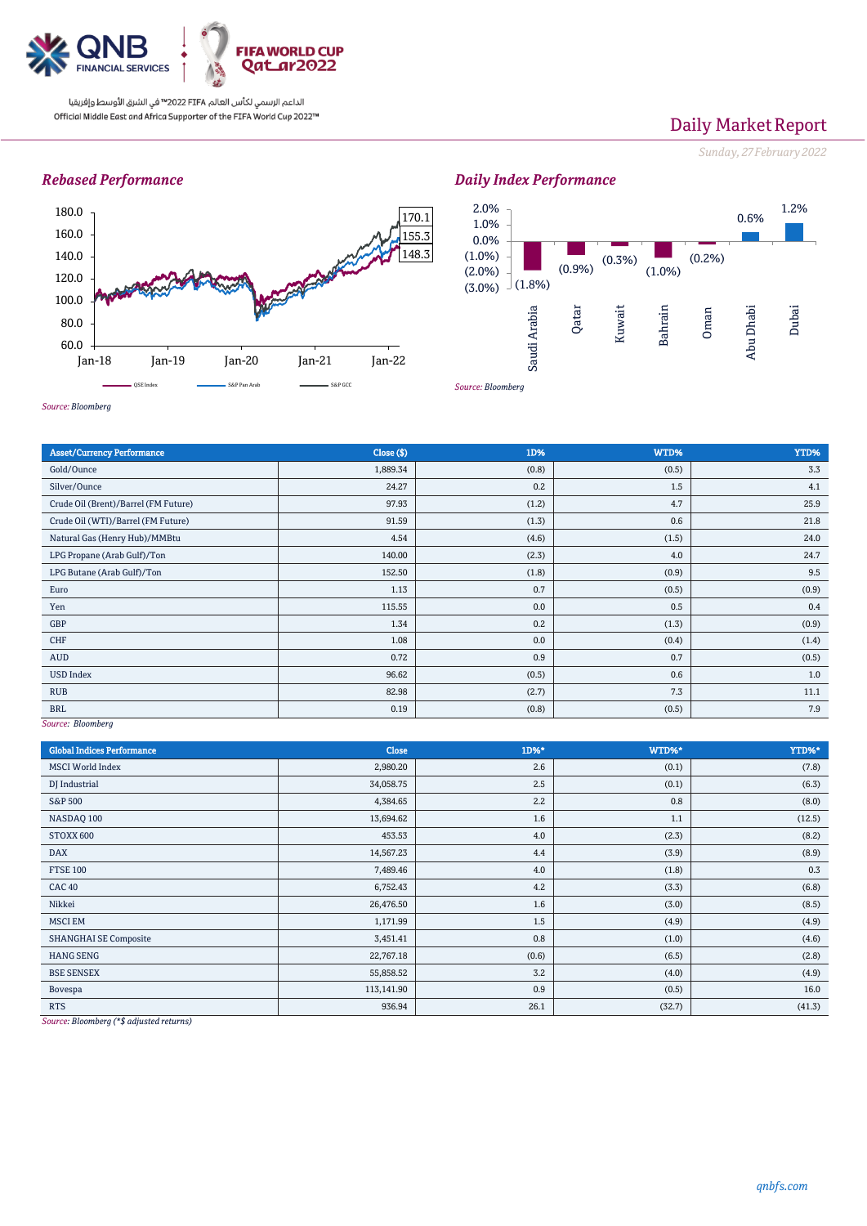

# Daily Market Report

*Sunday, 27February2022*

### *Rebased Performance*



 $(1.8\%)$  $(0.9\%)$   $(0.3\%)$  $(1.0\%)$ (0.2%) 0.6% 1.2% (3.0%) (2.0%) (1.0%) 0.0% 1.0% 2.0% Saudi Arabia Qatar Kuwait Bahrain Oman Abu Dhabi Dubai

*Daily Index Performance*

*Source: Bloomberg*

*Source: Bloomberg*

| <b>Asset/Currency Performance</b>            | Close ( \$) | 1D%   | WTD%  | YTD%  |
|----------------------------------------------|-------------|-------|-------|-------|
| Gold/Ounce                                   | 1,889.34    | (0.8) | (0.5) | 3.3   |
| Silver/Ounce                                 | 24.27       | 0.2   | 1.5   | 4.1   |
| Crude Oil (Brent)/Barrel (FM Future)         | 97.93       | (1.2) | 4.7   | 25.9  |
| Crude Oil (WTI)/Barrel (FM Future)           | 91.59       | (1.3) | 0.6   | 21.8  |
| Natural Gas (Henry Hub)/MMBtu                | 4.54        | (4.6) | (1.5) | 24.0  |
| LPG Propane (Arab Gulf)/Ton                  | 140.00      | (2.3) | 4.0   | 24.7  |
| LPG Butane (Arab Gulf)/Ton                   | 152.50      | (1.8) | (0.9) | 9.5   |
| Euro                                         | 1.13        | 0.7   | (0.5) | (0.9) |
| Yen                                          | 115.55      | 0.0   | 0.5   | 0.4   |
| GBP                                          | 1.34        | 0.2   | (1.3) | (0.9) |
| CHF                                          | 1.08        | 0.0   | (0.4) | (1.4) |
| AUD                                          | 0.72        | 0.9   | 0.7   | (0.5) |
| <b>USD Index</b>                             | 96.62       | (0.5) | 0.6   | 1.0   |
| <b>RUB</b>                                   | 82.98       | (2.7) | 7.3   | 11.1  |
| <b>BRL</b><br>$C_{\text{unim}}$ $D$ land $L$ | 0.19        | (0.8) | (0.5) | 7.9   |

*Source: Bloomberg*

| <b>Global Indices Performance</b>                                                                                                                                                                                                                      | <b>Close</b> | 1D%*  | WTD%*  | YTD%*  |
|--------------------------------------------------------------------------------------------------------------------------------------------------------------------------------------------------------------------------------------------------------|--------------|-------|--------|--------|
| <b>MSCI</b> World Index                                                                                                                                                                                                                                | 2,980.20     | 2.6   | (0.1)  | (7.8)  |
| DJ Industrial                                                                                                                                                                                                                                          | 34,058.75    | 2.5   | (0.1)  | (6.3)  |
| <b>S&amp;P 500</b>                                                                                                                                                                                                                                     | 4,384.65     | 2.2   | 0.8    | (8.0)  |
| NASDAQ 100                                                                                                                                                                                                                                             | 13,694.62    | 1.6   | 1.1    | (12.5) |
| STOXX 600                                                                                                                                                                                                                                              | 453.53       | 4.0   | (2.3)  | (8.2)  |
| <b>DAX</b>                                                                                                                                                                                                                                             | 14,567.23    | 4.4   | (3.9)  | (8.9)  |
| <b>FTSE 100</b>                                                                                                                                                                                                                                        | 7,489.46     | 4.0   | (1.8)  | 0.3    |
| <b>CAC 40</b>                                                                                                                                                                                                                                          | 6,752.43     | 4.2   | (3.3)  | (6.8)  |
| Nikkei                                                                                                                                                                                                                                                 | 26,476.50    | 1.6   | (3.0)  | (8.5)  |
| <b>MSCI EM</b>                                                                                                                                                                                                                                         | 1,171.99     | 1.5   | (4.9)  | (4.9)  |
| <b>SHANGHAI SE Composite</b>                                                                                                                                                                                                                           | 3,451.41     | 0.8   | (1.0)  | (4.6)  |
| <b>HANG SENG</b>                                                                                                                                                                                                                                       | 22,767.18    | (0.6) | (6.5)  | (2.8)  |
| <b>BSE SENSEX</b>                                                                                                                                                                                                                                      | 55,858.52    | 3.2   | (4.0)  | (4.9)  |
| Bovespa                                                                                                                                                                                                                                                | 113,141.90   | 0.9   | (0.5)  | 16.0   |
| <b>RTS</b><br>the contract of the contract of the contract of the contract of the contract of the contract of the contract of the contract of the contract of the contract of the contract of the contract of the contract of the contract o<br>$\sim$ | 936.94       | 26.1  | (32.7) | (41.3) |

*Source: Bloomberg (\*\$ adjusted returns)*